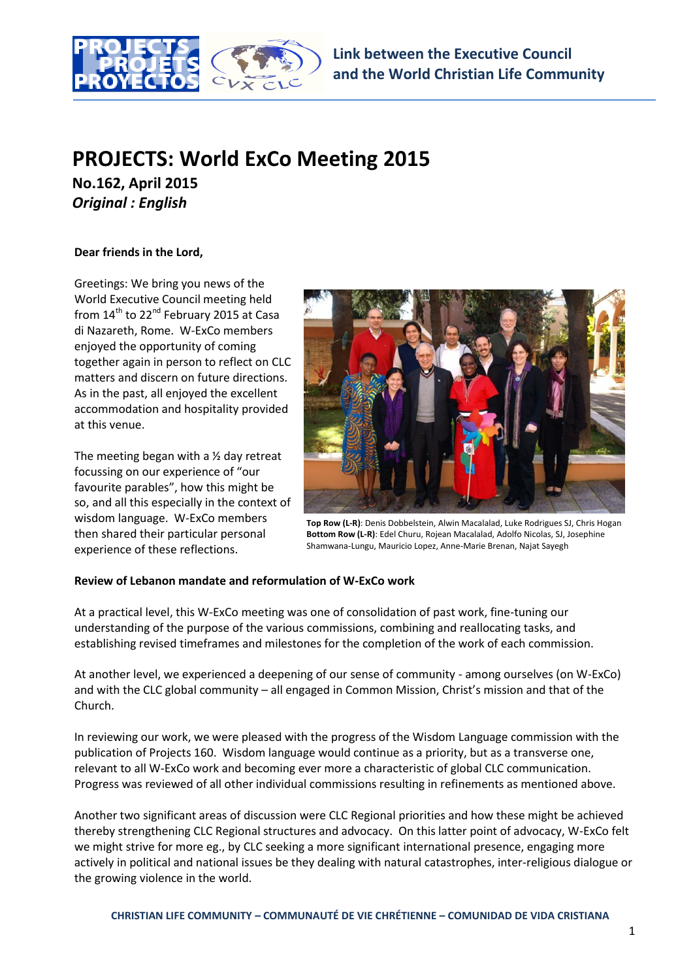

# **PROJECTS: World ExCo Meeting 2015**

**No.162, April 2015** *Original : English*

## **Dear friends in the Lord,**

Greetings: We bring you news of the World Executive Council meeting held from  $14<sup>th</sup>$  to 22<sup>nd</sup> February 2015 at Casa di Nazareth, Rome. W-ExCo members enjoyed the opportunity of coming together again in person to reflect on CLC matters and discern on future directions. As in the past, all enjoyed the excellent accommodation and hospitality provided at this venue.

The meeting began with a  $\frac{1}{2}$  day retreat focussing on our experience of "our favourite parables", how this might be so, and all this especially in the context of wisdom language. W-ExCo members then shared their particular personal experience of these reflections.



**Top Row (L-R)**: Denis Dobbelstein, Alwin Macalalad, Luke Rodrigues SJ, Chris Hogan **Bottom Row (L-R)**: Edel Churu, Rojean Macalalad, Adolfo Nicolas, SJ, Josephine Shamwana-Lungu, Mauricio Lopez, Anne-Marie Brenan, Najat Sayegh

# **Review of Lebanon mandate and reformulation of W-ExCo work**

At a practical level, this W-ExCo meeting was one of consolidation of past work, fine-tuning our understanding of the purpose of the various commissions, combining and reallocating tasks, and establishing revised timeframes and milestones for the completion of the work of each commission.

At another level, we experienced a deepening of our sense of community - among ourselves (on W-ExCo) and with the CLC global community – all engaged in Common Mission, Christ's mission and that of the Church.

In reviewing our work, we were pleased with the progress of the Wisdom Language commission with the publication of Projects 160. Wisdom language would continue as a priority, but as a transverse one, relevant to all W-ExCo work and becoming ever more a characteristic of global CLC communication. Progress was reviewed of all other individual commissions resulting in refinements as mentioned above.

Another two significant areas of discussion were CLC Regional priorities and how these might be achieved thereby strengthening CLC Regional structures and advocacy. On this latter point of advocacy, W-ExCo felt we might strive for more eg., by CLC seeking a more significant international presence, engaging more actively in political and national issues be they dealing with natural catastrophes, inter-religious dialogue or the growing violence in the world.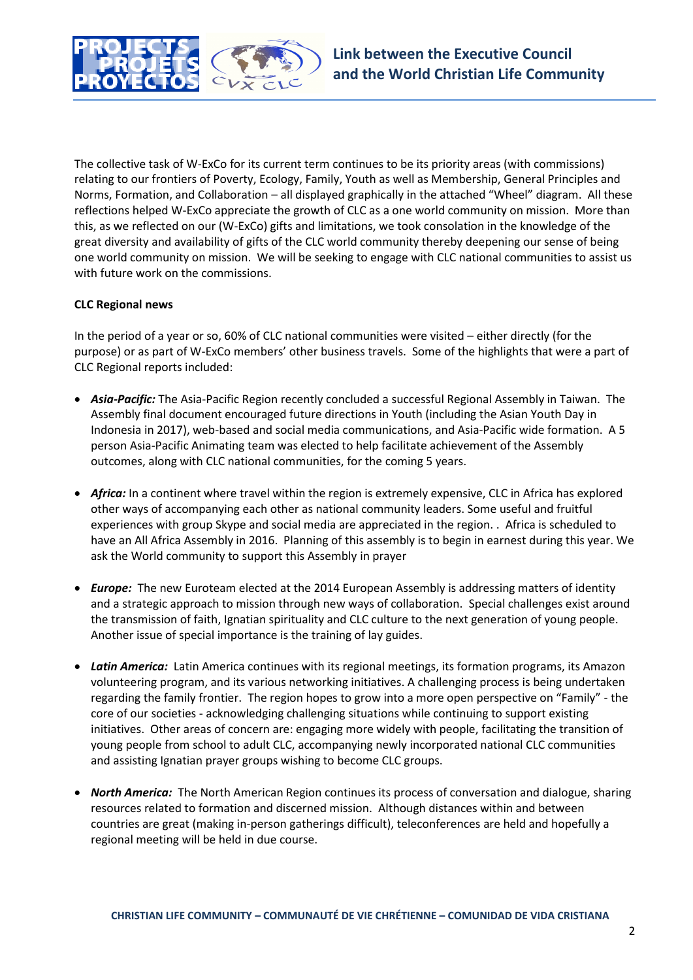

The collective task of W-ExCo for its current term continues to be its priority areas (with commissions) relating to our frontiers of Poverty, Ecology, Family, Youth as well as Membership, General Principles and Norms, Formation, and Collaboration – all displayed graphically in the attached "Wheel" diagram. All these reflections helped W-ExCo appreciate the growth of CLC as a one world community on mission. More than this, as we reflected on our (W-ExCo) gifts and limitations, we took consolation in the knowledge of the great diversity and availability of gifts of the CLC world community thereby deepening our sense of being one world community on mission. We will be seeking to engage with CLC national communities to assist us with future work on the commissions.

# **CLC Regional news**

In the period of a year or so, 60% of CLC national communities were visited – either directly (for the purpose) or as part of W-ExCo members' other business travels. Some of the highlights that were a part of CLC Regional reports included:

- *Asia-Pacific:* The Asia-Pacific Region recently concluded a successful Regional Assembly in Taiwan. The Assembly final document encouraged future directions in Youth (including the Asian Youth Day in Indonesia in 2017), web-based and social media communications, and Asia-Pacific wide formation. A 5 person Asia-Pacific Animating team was elected to help facilitate achievement of the Assembly outcomes, along with CLC national communities, for the coming 5 years.
- *Africa:* In a continent where travel within the region is extremely expensive, CLC in Africa has explored other ways of accompanying each other as national community leaders. Some useful and fruitful experiences with group Skype and social media are appreciated in the region. . Africa is scheduled to have an All Africa Assembly in 2016. Planning of this assembly is to begin in earnest during this year. We ask the World community to support this Assembly in prayer
- *Europe:* The new Euroteam elected at the 2014 European Assembly is addressing matters of identity and a strategic approach to mission through new ways of collaboration. Special challenges exist around the transmission of faith, Ignatian spirituality and CLC culture to the next generation of young people. Another issue of special importance is the training of lay guides.
- *Latin America:* Latin America continues with its regional meetings, its formation programs, its Amazon volunteering program, and its various networking initiatives. A challenging process is being undertaken regarding the family frontier. The region hopes to grow into a more open perspective on "Family" - the core of our societies - acknowledging challenging situations while continuing to support existing initiatives. Other areas of concern are: engaging more widely with people, facilitating the transition of young people from school to adult CLC, accompanying newly incorporated national CLC communities and assisting Ignatian prayer groups wishing to become CLC groups.
- *North America:*The North American Region continues its process of conversation and dialogue, sharing resources related to formation and discerned mission. Although distances within and between countries are great (making in-person gatherings difficult), teleconferences are held and hopefully a regional meeting will be held in due course.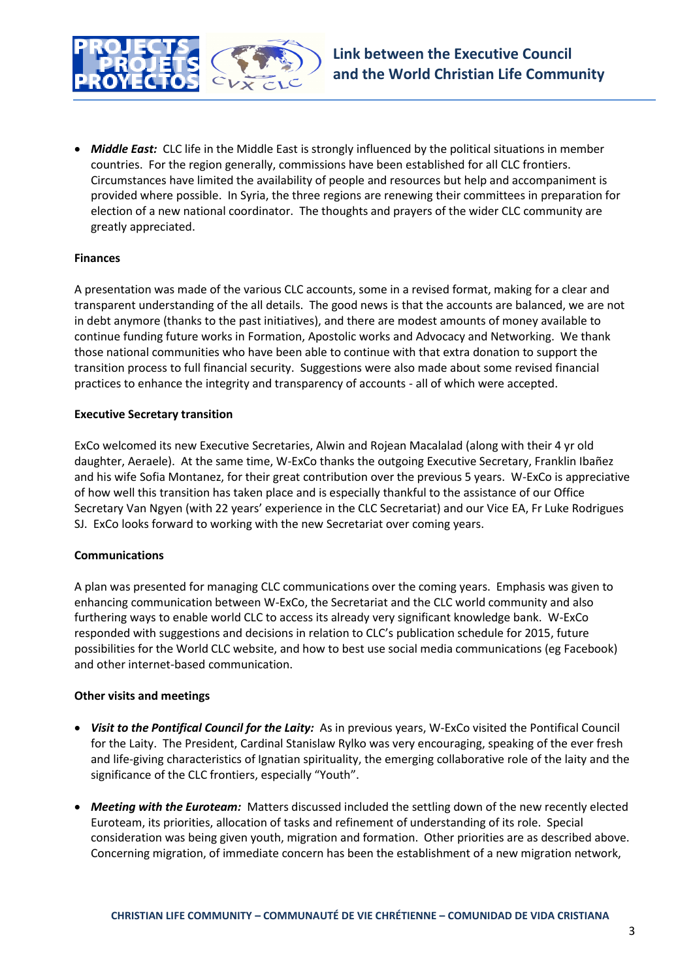

 *Middle East:*CLC life in the Middle East is strongly influenced by the political situations in member countries. For the region generally, commissions have been established for all CLC frontiers. Circumstances have limited the availability of people and resources but help and accompaniment is provided where possible. In Syria, the three regions are renewing their committees in preparation for election of a new national coordinator. The thoughts and prayers of the wider CLC community are greatly appreciated.

## **Finances**

A presentation was made of the various CLC accounts, some in a revised format, making for a clear and transparent understanding of the all details. The good news is that the accounts are balanced, we are not in debt anymore (thanks to the past initiatives), and there are modest amounts of money available to continue funding future works in Formation, Apostolic works and Advocacy and Networking. We thank those national communities who have been able to continue with that extra donation to support the transition process to full financial security. Suggestions were also made about some revised financial practices to enhance the integrity and transparency of accounts - all of which were accepted.

## **Executive Secretary transition**

ExCo welcomed its new Executive Secretaries, Alwin and Rojean Macalalad (along with their 4 yr old daughter, Aeraele). At the same time, W-ExCo thanks the outgoing Executive Secretary, Franklin Ibañez and his wife Sofia Montanez, for their great contribution over the previous 5 years. W-ExCo is appreciative of how well this transition has taken place and is especially thankful to the assistance of our Office Secretary Van Ngyen (with 22 years' experience in the CLC Secretariat) and our Vice EA, Fr Luke Rodrigues SJ. ExCo looks forward to working with the new Secretariat over coming years.

#### **Communications**

A plan was presented for managing CLC communications over the coming years. Emphasis was given to enhancing communication between W-ExCo, the Secretariat and the CLC world community and also furthering ways to enable world CLC to access its already very significant knowledge bank. W-ExCo responded with suggestions and decisions in relation to CLC's publication schedule for 2015, future possibilities for the World CLC website, and how to best use social media communications (eg Facebook) and other internet-based communication.

#### **Other visits and meetings**

- *Visit to the Pontifical Council for the Laity:*As in previous years, W-ExCo visited the Pontifical Council for the Laity. The President, Cardinal Stanislaw Rylko was very encouraging, speaking of the ever fresh and life-giving characteristics of Ignatian spirituality, the emerging collaborative role of the laity and the significance of the CLC frontiers, especially "Youth".
- *Meeting with the Euroteam:*Matters discussed included the settling down of the new recently elected Euroteam, its priorities, allocation of tasks and refinement of understanding of its role. Special consideration was being given youth, migration and formation. Other priorities are as described above. Concerning migration, of immediate concern has been the establishment of a new migration network,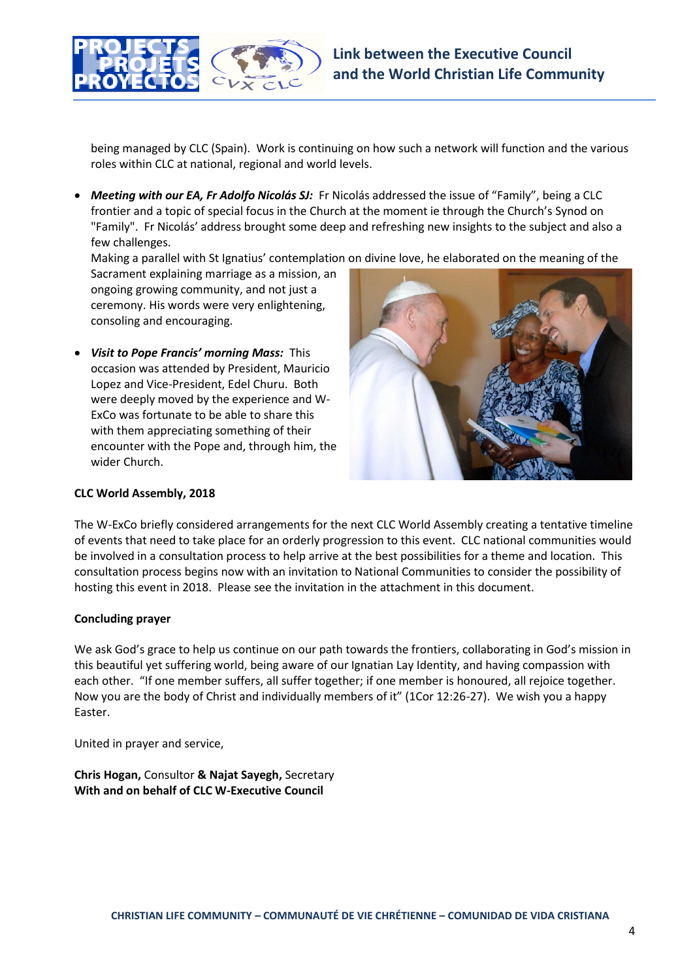

being managed by CLC (Spain). Work is continuing on how such a network will function and the various roles within CLC at national, regional and world levels.

 *Meeting with our EA, Fr Adolfo Nicolás SJ:*Fr Nicolás addressed the issue of "Family", being a CLC frontier and a topic of special focus in the Church at the moment ie through the Church's Synod on "Family". Fr Nicolás' address brought some deep and refreshing new insights to the subject and also a few challenges.

Making a parallel with St Ignatius' contemplation on divine love, he elaborated on the meaning of the

Sacrament explaining marriage as a mission, an ongoing growing community, and not just a ceremony. His words were very enlightening, consoling and encouraging.

 *Visit to Pope Francis' morning Mass:* This occasion was attended by President, Mauricio Lopez and Vice-President, Edel Churu. Both were deeply moved by the experience and W-ExCo was fortunate to be able to share this with them appreciating something of their encounter with the Pope and, through him, the wider Church.



#### **CLC World Assembly, 2018**

The W-ExCo briefly considered arrangements for the next CLC World Assembly creating a tentative timeline of events that need to take place for an orderly progression to this event. CLC national communities would be involved in a consultation process to help arrive at the best possibilities for a theme and location. This consultation process begins now with an invitation to National Communities to consider the possibility of hosting this event in 2018. Please see the invitation in the attachment in this document.

#### **Concluding prayer**

We ask God's grace to help us continue on our path towards the frontiers, collaborating in God's mission in this beautiful yet suffering world, being aware of our Ignatian Lay Identity, and having compassion with each other. "If one member suffers, all suffer together; if one member is honoured, all rejoice together. Now you are the body of Christ and individually members of it" (1Cor 12:26-27). We wish you a happy Easter.

United in prayer and service,

**Chris Hogan,** Consultor **& Najat Sayegh,** Secretary **With and on behalf of CLC W-Executive Council**